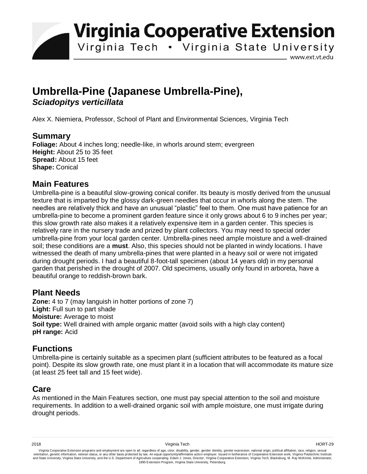**Virginia Cooperative Extension** 

Virginia Tech . Virginia State University

www.ext.vt.edu

# **Umbrella-Pine (Japanese Umbrella-Pine),**  *Sciadopitys verticillata*

Alex X. Niemiera, Professor, School of Plant and Environmental Sciences, Virginia Tech

### **Summary**

**Foliage:** About 4 inches long; needle-like, in whorls around stem; evergreen **Height:** About 25 to 35 feet **Spread:** About 15 feet **Shape:** Conical

#### **Main Features**

Umbrella-pine is a beautiful slow-growing conical conifer. Its beauty is mostly derived from the unusual texture that is imparted by the glossy dark-green needles that occur in whorls along the stem. The needles are relatively thick and have an unusual "plastic" feel to them. One must have patience for an umbrella-pine to become a prominent garden feature since it only grows about 6 to 9 inches per year; this slow growth rate also makes it a relatively expensive item in a garden center. This species is relatively rare in the nursery trade and prized by plant collectors. You may need to special order umbrella-pine from your local garden center. Umbrella-pines need ample moisture and a well-drained soil; these conditions are a **must**. Also, this species should not be planted in windy locations. I have witnessed the death of many umbrella-pines that were planted in a heavy soil or were not irrigated during drought periods. I had a beautiful 8-foot-tall specimen (about 14 years old) in my personal garden that perished in the drought of 2007. Old specimens, usually only found in arboreta, have a beautiful orange to reddish-brown bark.

#### **Plant Needs**

**Zone:** 4 to 7 (may languish in hotter portions of zone 7) Light: Full sun to part shade **Moisture:** Average to moist **Soil type:** Well drained with ample organic matter (avoid soils with a high clay content) **pH range:** Acid

## **Functions**

Umbrella-pine is certainly suitable as a specimen plant (sufficient attributes to be featured as a focal point). Despite its slow growth rate, one must plant it in a location that will accommodate its mature size (at least 25 feet tall and 15 feet wide).

## **Care**

As mentioned in the Main Features section, one must pay special attention to the soil and moisture requirements. In addition to a well-drained organic soil with ample moisture, one must irrigate during drought periods.